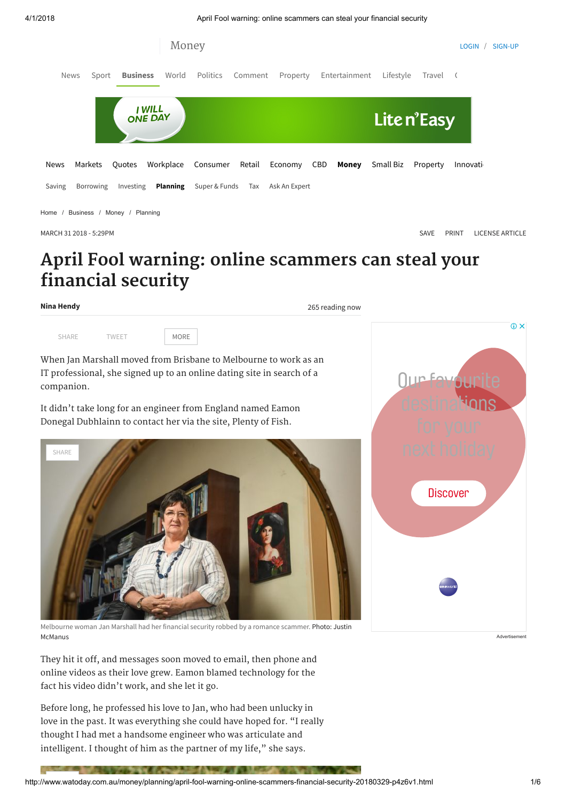4/1/2018 April Fool warning: online scammers can steal your financial security



MARCH 31 2018 - 5:29PM [SAVE](javascript:;) [PRINT](http://www.watoday.com.au/money/planning/april-fool-warning-online-scammers-financial-security-20180329-p4z6v1.html?deviceType=text) [LICENSE ARTICLE](http://rightsportal.copyright.com.au/pages/republicationpage.aspx?publisher=fxj&publication=WAT&author=Nina%20Hendy&title=April+Fool+warning%3A+online+scammers+can+steal+your+financial+security&publicationdate=31/03/2018&url=http://www.watoday.com.au/money/planning/april-fool-warning-online-scammers-financial-security-20180329-p4z6v1.html)

# April Fool warning: online scammers can steal your financial security

Nina Hendy

265 reading now

When Jan Marshall moved from Brisbane to Melbourne to work as an IT professional, she signed up to an online dating site in search of a companion.

It didn't take long for an engineer from England named Eamon Donegal Dubhlainn to contact her via the site, Plenty of Fish.

[SHARE](https://www.facebook.com/sharer/sharer.php?u=http%3A%2F%2Fwww.watoday.com.au%2Fmoney%2Fplanning%2Fapril-fool-warning-online-scammers-financial-security-20180329-p4z6v1.html&title=April+Fool+warning%3A+online+scammers+can+steal+your+financial+security) [TWEET](https://twitter.com/share?url=http%3A%2F%2Fwww.watoday.com.au%2Fmoney%2Fplanning%2Fapril-fool-warning-online-scammers-financial-security-20180329-p4z6v1.html&text=April+Fool+warning%3A+online+scammers+can+steal+your+financial+security&via=watoday) MORE



Melbourne woman Jan Marshall had her financial security robbed by a romance scammer. Photo: Justin McManus

They hit it off, and messages soon moved to email, then phone and online videos as their love grew. Eamon blamed technology for the fact his video didn't work, and she let it go.

Before long, he professed his love to Jan, who had been unlucky in love in the past. It was everything she could have hoped for. "I really thought I had met a handsome engineer who was articulate and intelligent. I thought of him as the partner of my life," she says.



Advertisement

na a mara na katika na mara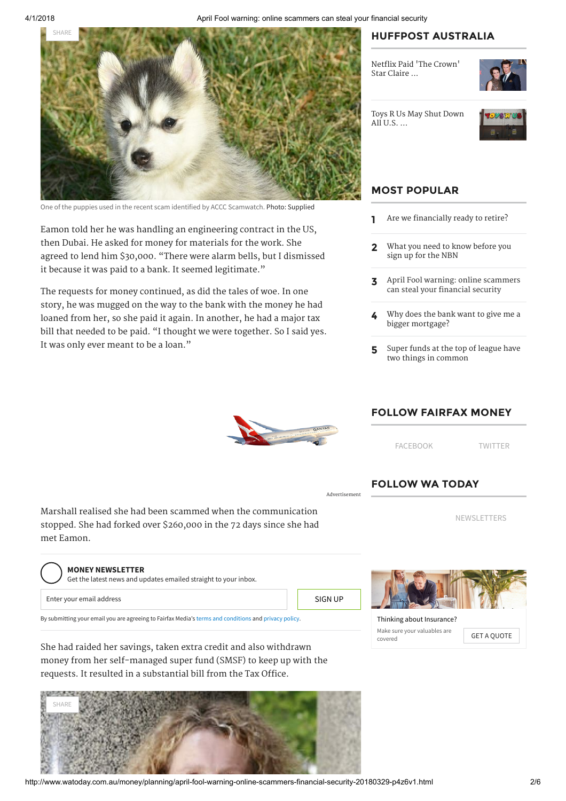

One of the puppies used in the recent scam identified by ACCC Scamwatch. Photo: Supplied

Eamon told her he was handling an engineering contract in the US, then Dubai. He asked for money for materials for the work. She agreed to lend him \$30,000. "There were alarm bells, but I dismissed it because it was paid to a bank. It seemed legitimate."

The requests for money continued, as did the tales of woe. In one story, he was mugged on the way to the bank with the money he had loaned from her, so she paid it again. In another, he had a major tax bill that needed to be paid. "I thought we were together. So I said yes. It was only ever meant to be a loan."

## HUFFPOST AUSTRALIA

Netflix Paid ['The Crown'](https://www.huffingtonpost.com.au/2018/03/13/netflix-paid-the-crown-star-claire-foy-less-than-her-on-screen-husband_a_23384988/?ncid=edlinkauhpmg00000001) Star Claire ...



[Toys R Us May Shut Down](https://www.huffingtonpost.com.au/2018/03/15/toys-r-us-may-shut-down-all-u-s-operations-impacting-thousands-of-workers_a_23386191/?ncid=edlinkauhpmg00000001) All  $U.S. \ldots$ 



# MOST POPULAR

- 1 [Are we financially ready to retire?](http://www.watoday.com.au/money/planning/are-we-financially-ready-to-retire-20180328-p4z6qr.html)
- 2 [What you need to know before you](http://www.watoday.com.au/money/planning/what-you-need-to-know-before-you-sign-up-for-the-nbn-20180328-p4z6nn.html) sign up for the NBN
- 3 [April Fool warning: online scammers](http://www.watoday.com.au/money/planning/april-fool-warning-online-scammers-financial-security-20180329-p4z6v1.html) can steal your financial security
- 4 [Why does the bank want to give me a](http://www.watoday.com.au/money/ask-an-expert/why-does-the-bank-want-to-give-me-a-bigger-mortgage-20180329-p4z72q.html) bigger mortgage?
- 5 [Super funds at the top of league have](http://www.watoday.com.au/money/super-and-funds/super-funds-at-the-top-of-league-have-two-things-in-common-20180330-p4z75r.html) two things in common



Advertisement

### FOLLOW FAIRFAX MONEY

[FACEBOOK](http://www.facebook.com/FairfaxMoney/) [TWITTER](https://twitter.com/FairfaxMoney)

[NEWSLETTERS](https://membercentre.fairfax.com.au/NewsletterSubscription.aspx)

# FOLLOW WA TODAY

Thinking about [Insurance?](https://adclick.g.doubleclick.net/pcs/click?xai=AKAOjsss8GjzNejdRpy1bIbZruWITnUvgCmRzEOMCjsCiScLqheD3hvz9TotJXpAp20RPHRqdKMMxr6zrMWvma4_r4b1p4u9RdccJ6ml6McUJ7vmsqoF6xw-rADmYyXXaA5TcmS9NNtCtf5LVtb-BIdCTcemQWVspkE_7qp5iw4PvWEyRONS0WhUc3QZLrkvubl4nW7QaTZScAg1omA6kNkI0Ea4hcnja7frgXbWWY3bjZJh40xcAHJDo4goCJw84eq7JrolIvlr1EbicY7vRnifqYv7RIgH6dC5QaFK5KD3ZQ&sig=Cg0ArKJSzPST77xBhnvrEAE&urlfix=1&adurl=https://www.domaininsure.com.au/homeinsurance/index.html?utm_campaign=Home%20Insurance&utm_content=300x75-couple.table.search&utm_medium=RHS&utm_source=CompareSave&utm_term=ROS) Make sure your valuables are

Make sure your valuables are **GET A QUOTE** 

Marshall realised she had been scammed when the communication stopped. She had forked over \$260,000 in the 72 days since she had met Eamon.

#### MONEY NEWSLETTER

Enter your email address By submitting your email you are agreeing to Fairfax Media's [terms and conditions](http://www.fairfax.com.au/conditions.html) and [privacy policy.](http://www.fairfax.com.au/privacy.html) Get the latest news and updates emailed straight to your inbox. SIGN UP

She had raided her savings, taken extra credit and also withdrawn money from her self-managed super fund (SMSF) to keep up with the requests. It resulted in a substantial bill from the Tax Office.

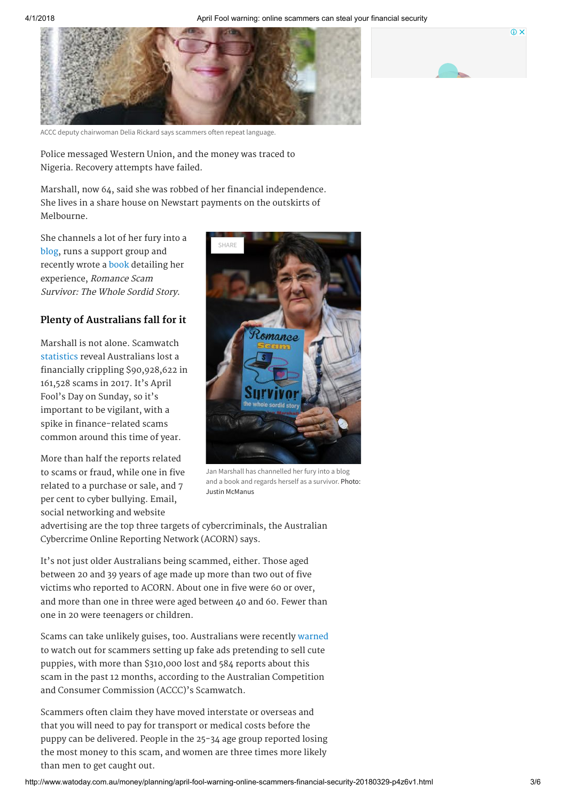

ACCC deputy chairwoman Delia Rickard says scammers often repeat language.

Police messaged Western Union, and the money was traced to Nigeria. Recovery attempts have failed.

Marshall, now 64, said she was robbed of her financial independence. She lives in a share house on Newstart payments on the outskirts of Melbourne.

She channels a lot of her fury into a [blog](http://romancescamsurvivor.org/about-janis-carol/), runs a support group and recently wrote a [book](https://www.amazon.com.au/Romance-Scam-Survivor-Whole-Sordid-ebook/dp/B078KS9Q2M) detailing her experience, Romance Scam Survivor: The Whole Sordid Story.

#### Plenty of Australians fall for it

Marshall is not alone. Scamwatch [statistics](https://www.scamwatch.gov.au/about-scamwatch/scam-statistics) reveal Australians lost a financially crippling \$90,928,622 in 161,528 scams in 2017. It's April Fool's Day on Sunday, so it's important to be vigilant, with a spike in finance-related scams common around this time of year.

More than half the reports related to scams or fraud, while one in five related to a purchase or sale, and 7 per cent to cyber bullying. Email, social networking and website



Jan Marshall has channelled her fury into a blog and a book and regards herself as a survivor. Photo: Justin McManus

advertising are the top three targets of cybercriminals, the Australian Cybercrime Online Reporting Network (ACORN) says.

It's not just older Australians being scammed, either. Those aged between 20 and 39 years of age made up more than two out of five victims who reported to ACORN. About one in five were 60 or over, and more than one in three were aged between 40 and 60. Fewer than one in 20 were teenagers or children.

Scams can take unlikely guises, too. Australians were recently [warned](https://www.accc.gov.au/media-release/dont-fall-for-a-scammers-puppy-dog-eyes) to watch out for scammers setting up fake ads pretending to sell cute puppies, with more than \$310,000 lost and 584 reports about this scam in the past 12 months, according to the Australian Competition and Consumer Commission (ACCC)'s Scamwatch.

Scammers often claim they have moved interstate or overseas and that you will need to pay for transport or medical costs before the puppy can be delivered. People in the 25-34 age group reported losing the most money to this scam, and women are three times more likely than men to get caught out.

 $\omega$   $\times$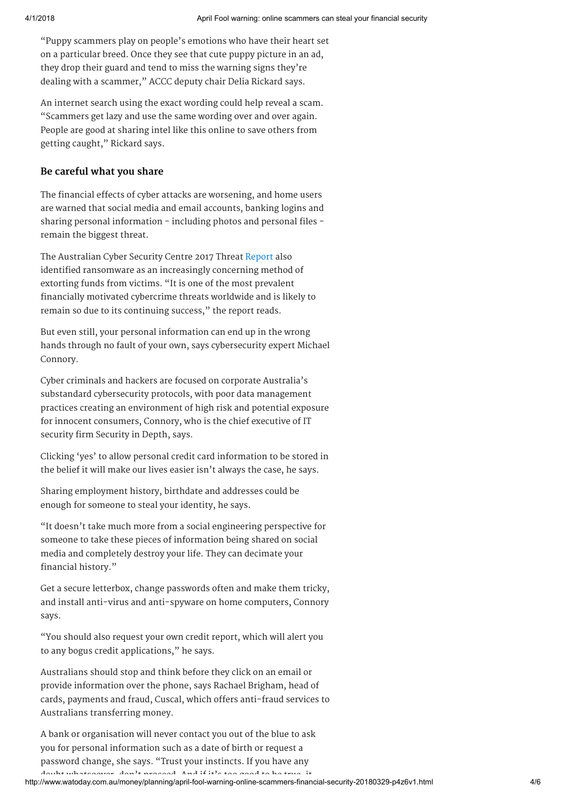"Puppy scammers play on people's emotions who have their heart set on a particular breed. Once they see that cute puppy picture in an ad, they drop their guard and tend to miss the warning signs they're dealing with a scammer," ACCC deputy chair Delia Rickard says.

An internet search using the exact wording could help reveal a scam. "Scammers get lazy and use the same wording over and over again. People are good at sharing intel like this online to save others from getting caught," Rickard says.

### Be careful what you share

The financial effects of cyber attacks are worsening, and home users are warned that social media and email accounts, banking logins and sharing personal information - including photos and personal files remain the biggest threat.

The Australian Cyber Security Centre 2017 Threat [Report](https://www.acsc.gov.au/publications/ACSC_Threat_Report_2017.pdf) also identified ransomware as an increasingly concerning method of extorting funds from victims. "It is one of the most prevalent financially motivated cybercrime threats worldwide and is likely to remain so due to its continuing success," the report reads.

But even still, your personal information can end up in the wrong hands through no fault of your own, says cybersecurity expert Michael Connory.

Cyber criminals and hackers are focused on corporate Australia's substandard cybersecurity protocols, with poor data management practices creating an environment of high risk and potential exposure for innocent consumers, Connory, who is the chief executive of IT security firm Security in Depth, says.

Clicking 'yes' to allow personal credit card information to be stored in the belief it will make our lives easier isn't always the case, he says.

Sharing employment history, birthdate and addresses could be enough for someone to steal your identity, he says.

"It doesn't take much more from a social engineering perspective for someone to take these pieces of information being shared on social media and completely destroy your life. They can decimate your financial history."

Get a secure letterbox, change passwords often and make them tricky, and install anti-virus and anti-spyware on home computers, Connory says.

"You should also request your own credit report, which will alert you to any bogus credit applications," he says.

Australians should stop and think before they click on an email or provide information over the phone, says Rachael Brigham, head of cards, payments and fraud, Cuscal, which offers anti-fraud services to Australians transferring money.

A bank or organisation will never contact you out of the blue to ask you for personal information such as a date of birth or request a password change, she says. "Trust your instincts. If you have any doubt whatsoever don't proceed And if it's too good to be true it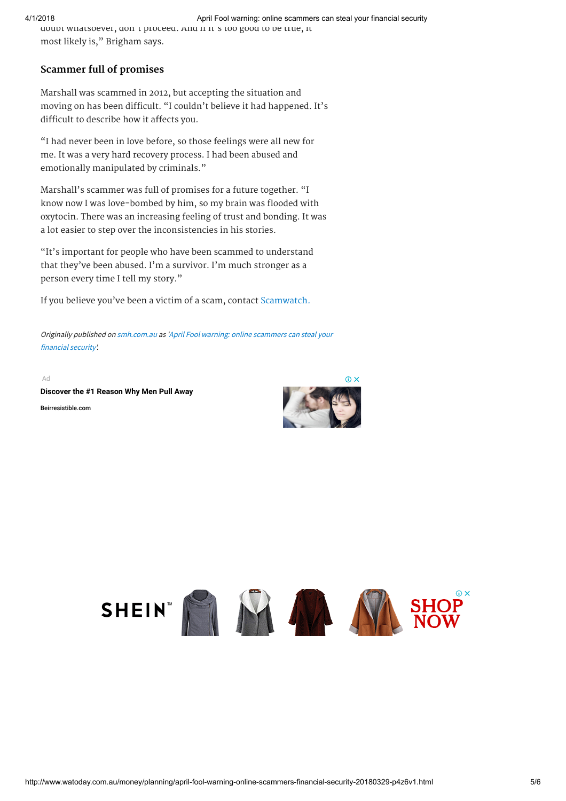# Scammer full of promises

Marshall was scammed in 2012, but accepting the situation and moving on has been difficult. "I couldn't believe it had happened. It's difficult to describe how it affects you.

"I had never been in love before, so those feelings were all new for me. It was a very hard recovery process. I had been abused and emotionally manipulated by criminals."

Marshall's scammer was full of promises for a future together. "I know now I was love-bombed by him, so my brain was flooded with oxytocin. There was an increasing feeling of trust and bonding. It was a lot easier to step over the inconsistencies in his stories.

"It's important for people who have been scammed to understand that they've been abused. I'm a survivor. I'm much stronger as a person every time I tell my story."

If you believe you've been a victim of a scam, contact [Scamwatch.](https://www.scamwatch.gov.au/report-a-scam)

[Originally published on](http://www.smh.com.au/money/planning/april-fool-warning-online-scammers-financial-security-20180329-p4z6v1.html) [smh.com.a](http://www.smh.com.au/)[u as 'April Fool warning: online scammers can steal your](http://www.smh.com.au/money/planning/april-fool-warning-online-scammers-financial-security-20180329-p4z6v1.html) financial security'.

Ad

[Beirresistible.com](https://www.googleadservices.com/pagead/aclk?sa=L&ai=CWgAbNDPAWq_8MYfe2ASBsqbYA4vYkv1Qm-SJxdUEwI23ARABIL3buWBgpfiIgIwBoAHCvMrhA8gBBuACAKgDAcgDAqoEjQJP0HKqfpcLBz1OIsq_DHS8UOWuD973mms8HCEza8--bGF5cmyEOScS2kLgRzJtJmA8iOdEY6hESz4hIxjFPzQtF47ReJncV9gArqyh0FR0fyzgB2E2umZ4SqZXZlGrb2k8x0CtMzV0LtC7US94cNeekUO-IZ7dNUf9EkJm7XEI0vhIp_-qc_p2mjmCzQVoQ9J19Le81z_h3HXTOJ4Y7RfFKHndurwin9fcchwEO681Itx3nwA19xd6BfsRojLd8LRMv16beYg5OgU9sUqYQxmW-FBq1pt3IQ44NRRKyzpQJaNX9MYwHJeIMH0z-PkzHdSFLTC5u5u-Qo1NNGJL2PoqcA4XDEPg-Ay4nKhzM-AEAaAGN4AHpsO1HqgHjs4bqAfVyRuoB6a-G9gHAdIIBwiAARABGAGxCcDzSfP1XKKWgAoD2BMM&num=1&cid=CAASEuRoQCzH1hBn5vz488dQt8rtAA&sig=AOD64_38UTLNWwf-jbW079pskksxQFcjrw&client=ca-pub-8027655917349410&adurl=https://beirresistible.com/understandingmen.php%3Fcampaignid%3D230917206%26adgroupid%3D18048070326%26feeditemid%3D%26targetid%3Dkwd-0%26loc_interest_ms%3D9071457%26loc_physical_ms%3D9071953%26matchtype%3D%26network%3Dd%26device%3Dc%26devicemodel%3D%26creative%3D181694150589%26keyword%3D%26placement%3Dwww.watoday.com.au%26target%3D%26adposition%3Dnone) [Discover the #1 Reason Why Men Pull Away](https://www.googleadservices.com/pagead/aclk?sa=L&ai=CWgAbNDPAWq_8MYfe2ASBsqbYA4vYkv1Qm-SJxdUEwI23ARABIL3buWBgpfiIgIwBoAHCvMrhA8gBBuACAKgDAcgDAqoEjQJP0HKqfpcLBz1OIsq_DHS8UOWuD973mms8HCEza8--bGF5cmyEOScS2kLgRzJtJmA8iOdEY6hESz4hIxjFPzQtF47ReJncV9gArqyh0FR0fyzgB2E2umZ4SqZXZlGrb2k8x0CtMzV0LtC7US94cNeekUO-IZ7dNUf9EkJm7XEI0vhIp_-qc_p2mjmCzQVoQ9J19Le81z_h3HXTOJ4Y7RfFKHndurwin9fcchwEO681Itx3nwA19xd6BfsRojLd8LRMv16beYg5OgU9sUqYQxmW-FBq1pt3IQ44NRRKyzpQJaNX9MYwHJeIMH0z-PkzHdSFLTC5u5u-Qo1NNGJL2PoqcA4XDEPg-Ay4nKhzM-AEAaAGN4AHpsO1HqgHjs4bqAfVyRuoB6a-G9gHAdIIBwiAARABGAGxCcDzSfP1XKKWgAoD2BMM&num=1&cid=CAASEuRoQCzH1hBn5vz488dQt8rtAA&sig=AOD64_38UTLNWwf-jbW079pskksxQFcjrw&client=ca-pub-8027655917349410&adurl=https://beirresistible.com/understandingmen.php%3Fcampaignid%3D230917206%26adgroupid%3D18048070326%26feeditemid%3D%26targetid%3Dkwd-0%26loc_interest_ms%3D9071457%26loc_physical_ms%3D9071953%26matchtype%3D%26network%3Dd%26device%3Dc%26devicemodel%3D%26creative%3D181694150589%26keyword%3D%26placement%3Dwww.watoday.com.au%26target%3D%26adposition%3Dnone)